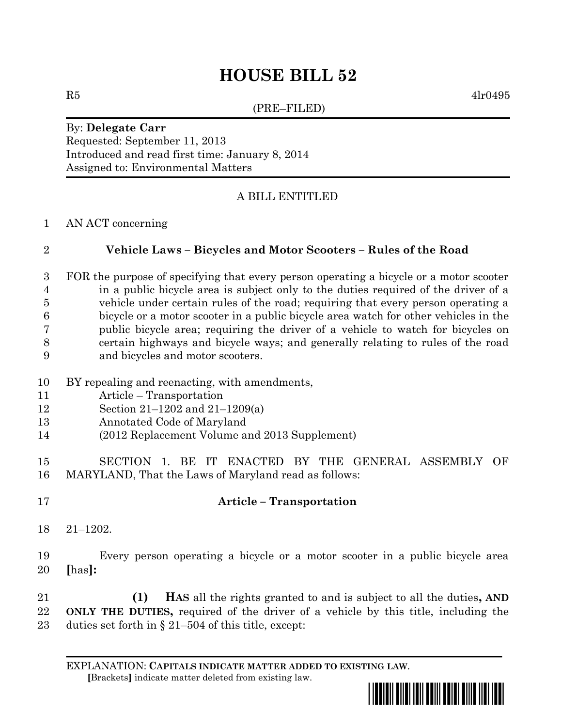# **HOUSE BILL 52**

(PRE–FILED)

 $R5$  4lr0495

#### By: **Delegate Carr** Requested: September 11, 2013

Introduced and read first time: January 8, 2014 Assigned to: Environmental Matters

## A BILL ENTITLED

#### AN ACT concerning

### **Vehicle Laws – Bicycles and Motor Scooters – Rules of the Road**

- FOR the purpose of specifying that every person operating a bicycle or a motor scooter in a public bicycle area is subject only to the duties required of the driver of a vehicle under certain rules of the road; requiring that every person operating a bicycle or a motor scooter in a public bicycle area watch for other vehicles in the public bicycle area; requiring the driver of a vehicle to watch for bicycles on certain highways and bicycle ways; and generally relating to rules of the road and bicycles and motor scooters.
- BY repealing and reenacting, with amendments,
- Article Transportation
- Section 21–1202 and 21–1209(a)
- Annotated Code of Maryland
- (2012 Replacement Volume and 2013 Supplement)
- SECTION 1. BE IT ENACTED BY THE GENERAL ASSEMBLY OF MARYLAND, That the Laws of Maryland read as follows:
- 

## **Article – Transportation**

- 21–1202.
- Every person operating a bicycle or a motor scooter in a public bicycle area **[**has**]:**

 **(1) HAS** all the rights granted to and is subject to all the duties**, AND ONLY THE DUTIES,** required of the driver of a vehicle by this title, including the duties set forth in § 21–504 of this title, except:

EXPLANATION: **CAPITALS INDICATE MATTER ADDED TO EXISTING LAW**.  **[**Brackets**]** indicate matter deleted from existing law.